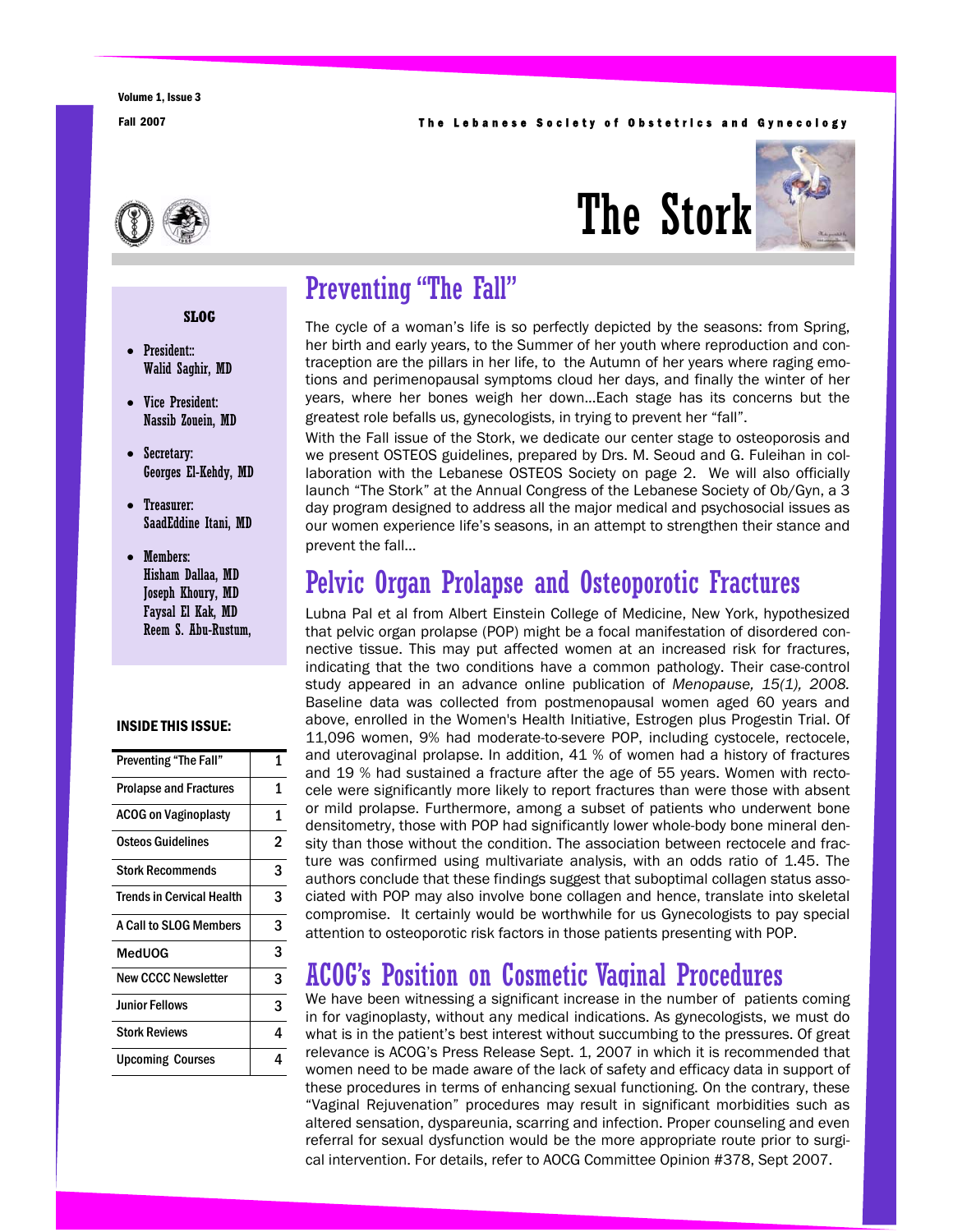#### Fall 2007 **The Lebanese Society of Obstetrics and Gynecology**





## Preventing "The Fall"

The cycle of a woman's life is so perfectly depicted by the seasons: from Spring, her birth and early years, to the Summer of her youth where reproduction and contraception are the pillars in her life, to the Autumn of her years where raging emotions and perimenopausal symptoms cloud her days, and finally the winter of her years, where her bones weigh her down...Each stage has its concerns but the greatest role befalls us, gynecologists, in trying to prevent her "fall".

With the Fall issue of the Stork, we dedicate our center stage to osteoporosis and we present OSTEOS guidelines, prepared by Drs. M. Seoud and G. Fuleihan in collaboration with the Lebanese OSTEOS Society on page 2. We will also officially launch "The Stork" at the Annual Congress of the Lebanese Society of Ob/Gyn, a 3 day program designed to address all the major medical and psychosocial issues as our women experience life's seasons, in an attempt to strengthen their stance and prevent the fall...

## Pelvic Organ Prolapse and Osteoporotic Fractures

Lubna Pal et al from Albert Einstein College of Medicine, New York, hypothesized that pelvic organ prolapse (POP) might be a focal manifestation of disordered connective tissue. This may put affected women at an increased risk for fractures, indicating that the two conditions have a common pathology. Their case-control study appeared in an advance online publication of *Menopause, 15(1), 2008.*  Baseline data was collected from postmenopausal women aged 60 years and above, enrolled in the Women's Health Initiative, Estrogen plus Progestin Trial. Of 11,096 women, 9% had moderate-to-severe POP, including cystocele, rectocele, and uterovaginal prolapse. In addition, 41 % of women had a history of fractures and 19 % had sustained a fracture after the age of 55 years. Women with rectocele were significantly more likely to report fractures than were those with absent or mild prolapse. Furthermore, among a subset of patients who underwent bone densitometry, those with POP had significantly lower whole-body bone mineral density than those without the condition. The association between rectocele and fracture was confirmed using multivariate analysis, with an odds ratio of 1.45. The authors conclude that these findings suggest that suboptimal collagen status associated with POP may also involve bone collagen and hence, translate into skeletal compromise. It certainly would be worthwhile for us Gynecologists to pay special attention to osteoporotic risk factors in those patients presenting with POP.

## ACOG's Position on Cosmetic Vaginal Procedures

We have been witnessing a significant increase in the number of patients coming in for vaginoplasty, without any medical indications. As gynecologists, we must do what is in the patient's best interest without succumbing to the pressures. Of great relevance is ACOG's Press Release Sept. 1, 2007 in which it is recommended that women need to be made aware of the lack of safety and efficacy data in support of these procedures in terms of enhancing sexual functioning. On the contrary, these "Vaginal Rejuvenation" procedures may result in significant morbidities such as altered sensation, dyspareunia, scarring and infection. Proper counseling and even referral for sexual dysfunction would be the more appropriate route prior to surgical intervention. For details, refer to AOCG Committee Opinion #378, Sept 2007.

#### **SLOG**

- President:: Walid Saghir, MD
- Vice President: Nassib Zouein, MD
- Secretary: Georges El-Kehdy, MD
- Treasurer: SaadEddine Itani, MD
- Members: Hisham Dallaa, MD Joseph Khoury, MD Faysal El Kak, MD Reem S. Abu-Rustum,

#### INSIDE THIS ISSUE:

| <b>Preventing "The Fall"</b>     | 1 |
|----------------------------------|---|
| <b>Prolapse and Fractures</b>    | 1 |
| <b>ACOG on Vaginoplasty</b>      | 1 |
| Osteos Guidelines                | 2 |
| <b>Stork Recommends</b>          | 3 |
| <b>Trends in Cervical Health</b> | 3 |
| A Call to SLOG Members           | 3 |
| MedUOG                           | 3 |
| <b>New CCCC Newsletter</b>       | 3 |
| <b>Junior Fellows</b>            | 3 |
| <b>Stork Reviews</b>             | 4 |
| <b>Upcoming Courses</b>          | 4 |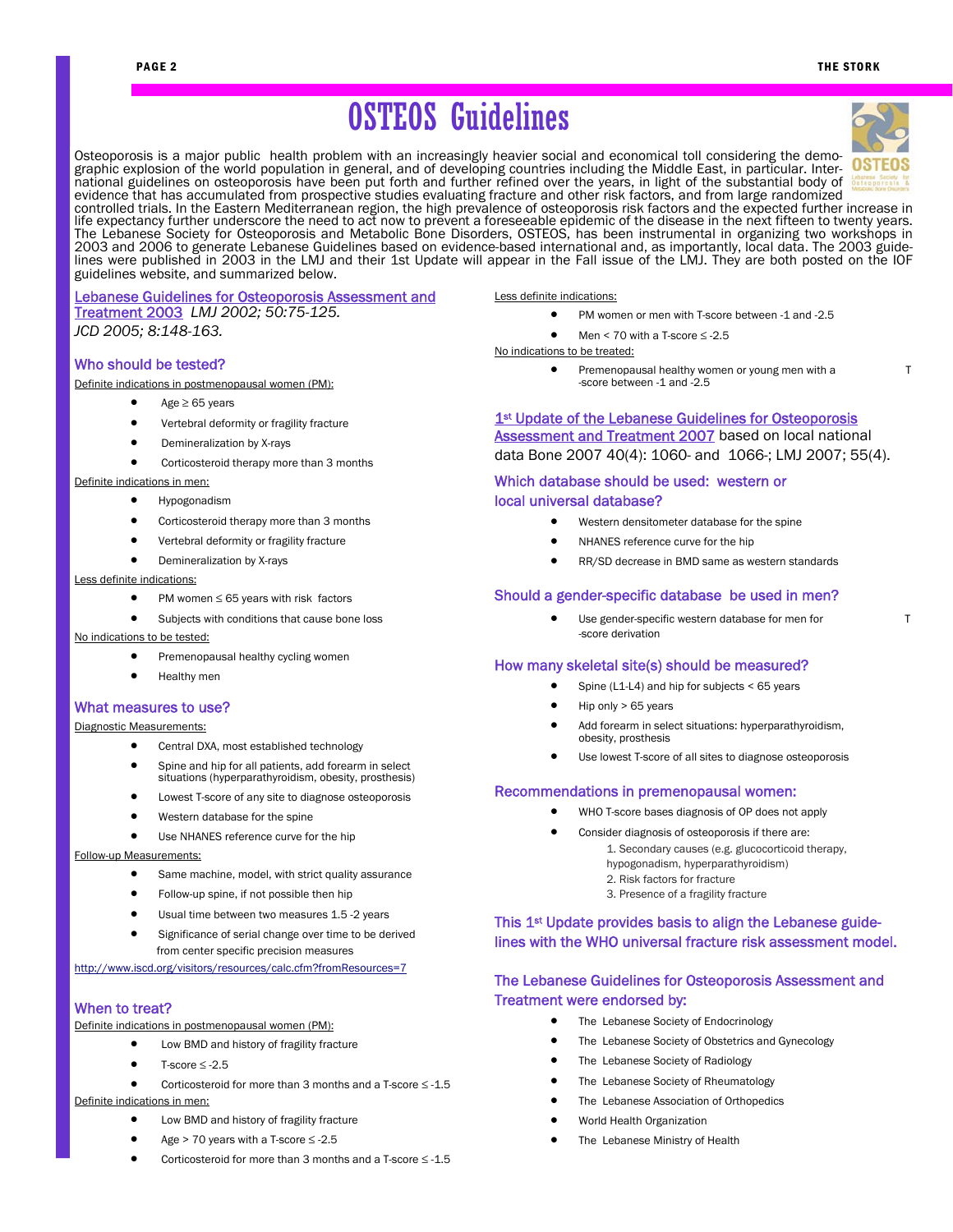# OSTEOS Guidelines

Osteoporosis is a major public health problem with an increasingly heavier social and economical toll considering the demographic explosion of the world population in general, and of developing countries including the Middle East, in particular. Inter-



national guidelines on osteoporosis have been put forth and further refined over the years, in light of the substantial body of evidence that has accumulated from prospective studies evaluating fracture and other risk factors, and from large randomized controlled trials. In the Eastern Mediterranean region, the high prevalence of osteoporosis risk factors and the expected further increase in life expectancy further underscore the need to act now to prevent a foreseeable epidemic of the disease in the next fifteen to twenty years. The Lebanese Society for Osteoporosis and Metabolic Bone Disorders, OSTEOS, has been instrumental in organizing two workshops in 2003 and 2006 to generate Lebanese Guidelines based on evidence-based international and, as importantly, local data. The 2003 guidelines were published in 2003 in the LMJ and their 1st Update will appear in the Fall issue of the LMJ. They are both posted on the IOF guidelines website, and summarized below.

### Lebanese Guidelines for Osteoporosis Assessment and Treatment 2003 *LMJ 2002; 50:75-125.*

*JCD 2005; 8:148-163.*

#### Who should be tested?

Definite indications in postmenopausal women (PM):

- $Aee \geq 65$  years
- Vertebral deformity or fragility fracture
- Demineralization by X-rays
- Corticosteroid therapy more than 3 months

#### Definite indications in men:

- Hypogonadism
- Corticosteroid therapy more than 3 months
- Vertebral deformity or fragility fracture
- Demineralization by X-rays

#### Less definite indications:

- PM women ≤ 65 years with risk factors
- Subjects with conditions that cause bone loss

#### No indications to be tested:

- Premenopausal healthy cycling women
- Healthy men

#### What measures to use?

Diagnostic Measurements:

- Central DXA, most established technology
- Spine and hip for all patients, add forearm in select situations (hyperparathyroidism, obesity, prosthesis)
- Lowest T-score of any site to diagnose osteoporosis
- Western database for the spine
- Use NHANES reference curve for the hip

Follow-up Measurements:

- Same machine, model, with strict quality assurance
- Follow-up spine, if not possible then hip
- Usual time between two measures 1.5 -2 years
- Significance of serial change over time to be derived from center specific precision measures

http://www.iscd.org/visitors/resources/calc.cfm?fromResources=7

#### When to treat?

- Definite indications in postmenopausal women (PM):
	- Low BMD and history of fragility fracture
	- T-score  $\leq$  -2.5
	- Corticosteroid for more than 3 months and a T-score  $\leq$  -1.5

#### Definite indications in men:

- Low BMD and history of fragility fracture
- Age > 70 years with a T-score ≤ -2.5
- Corticosteroid for more than 3 months and a T-score ≤ -1.5

Less definite indications:

- PM women or men with T-score between -1 and -2.5
- Men  $\leq$  70 with a T-score  $\leq$  -2.5

#### No indications to be treated:

Premenopausal healthy women or young men with a T -score between -1 and -2.5

#### 1<sup>st</sup> Update of the Lebanese Guidelines for Osteoporosis

Assessment and Treatment 2007 based on local national

### data Bone 2007 40(4): 1060- and 1066-; LMJ 2007; 55(4).

#### Which database should be used: western or local universal database?

- Western densitometer database for the spine
- NHANES reference curve for the hip
- RR/SD decrease in BMD same as western standards

#### Should a gender-specific database be used in men?

• Use gender-specific western database for men for T -score derivation

#### How many skeletal site(s) should be measured?

- Spine (L1-L4) and hip for subjects < 65 years
- Hip only > 65 years
- Add forearm in select situations: hyperparathyroidism, obesity, prosthesis
- Use lowest T-score of all sites to diagnose osteoporosis

#### Recommendations in premenopausal women:

- WHO T-score bases diagnosis of OP does not apply
- Consider diagnosis of osteoporosis if there are:
	- 1. Secondary causes (e.g. glucocorticoid therapy, hypogonadism, hyperparathyroidism) 2. Risk factors for fracture
		- 3. Presence of a fragility fracture

#### This 1<sup>st</sup> Update provides basis to align the Lebanese guidelines with the WHO universal fracture risk assessment model.

#### The Lebanese Guidelines for Osteoporosis Assessment and Treatment were endorsed by:

- The Lebanese Society of Endocrinology
- The Lebanese Society of Obstetrics and Gynecology
- The Lebanese Society of Radiology
- The Lebanese Society of Rheumatology
- The Lebanese Association of Orthopedics
- World Health Organization
- The Lebanese Ministry of Health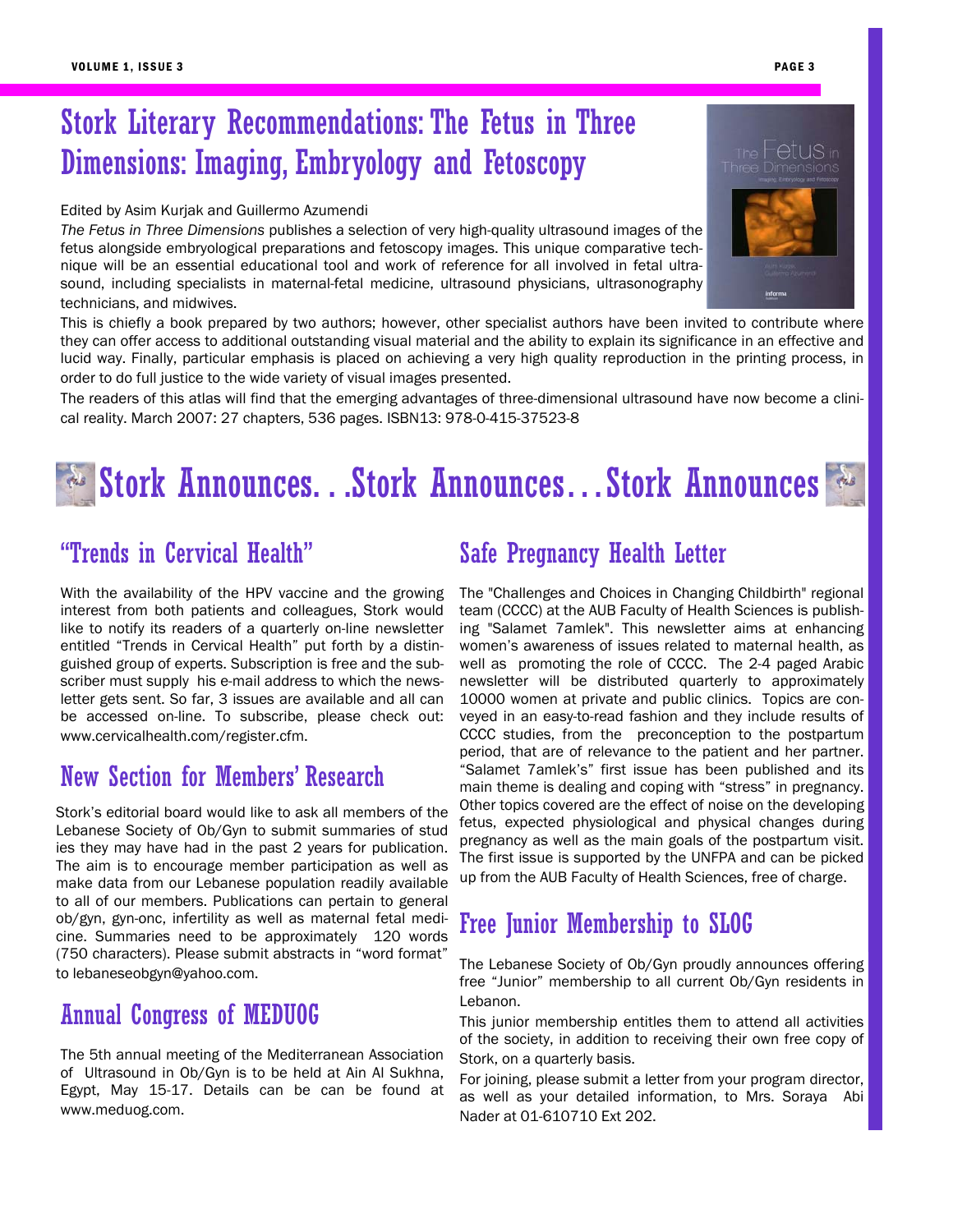## Stork Literary Recommendations: The Fetus in Three Dimensions: Imaging, Embryology and Fetoscopy

#### Edited by Asim Kurjak and Guillermo Azumendi

*The Fetus in Three Dimensions* publishes a selection of very high-quality ultrasound images of the fetus alongside embryological preparations and fetoscopy images. This unique comparative technique will be an essential educational tool and work of reference for all involved in fetal ultrasound, including specialists in maternal-fetal medicine, ultrasound physicians, ultrasonography technicians, and midwives.

This is chiefly a book prepared by two authors; however, other specialist authors have been invited to contribute where they can offer access to additional outstanding visual material and the ability to explain its significance in an effective and lucid way. Finally, particular emphasis is placed on achieving a very high quality reproduction in the printing process, in order to do full justice to the wide variety of visual images presented.

The readers of this atlas will find that the emerging advantages of three-dimensional ultrasound have now become a clinical reality. March 2007: 27 chapters, 536 pages. ISBN13: 978-0-415-37523-8

# Stork Announces. . .Stork Announces…Stork Announces

### "Trends in Cervical Health"

With the availability of the HPV vaccine and the growing interest from both patients and colleagues, Stork would like to notify its readers of a quarterly on-line newsletter entitled "Trends in Cervical Health" put forth by a distinguished group of experts. Subscription is free and the subscriber must supply his e-mail address to which the newsletter gets sent. So far, 3 issues are available and all can be accessed on-line. To subscribe, please check out: www.cervicalhealth.com/register.cfm.

### New Section for Members' Research

Stork's editorial board would like to ask all members of the Lebanese Society of Ob/Gyn to submit summaries of stud ies they may have had in the past 2 years for publication. The aim is to encourage member participation as well as make data from our Lebanese population readily available to all of our members. Publications can pertain to general ob/gyn, gyn-onc, infertility as well as maternal fetal medicine. Summaries need to be approximately 120 words (750 characters). Please submit abstracts in "word format" to lebaneseobgyn@yahoo.com.

### Annual Congress of MEDUOG

The 5th annual meeting of the Mediterranean Association of Ultrasound in Ob/Gyn is to be held at Ain Al Sukhna, Egypt, May 15-17. Details can be can be found at www.meduog.com.

### Safe Pregnancy Health Letter

The "Challenges and Choices in Changing Childbirth" regional team (CCCC) at the AUB Faculty of Health Sciences is publishing "Salamet 7amlek". This newsletter aims at enhancing women's awareness of issues related to maternal health, as well as promoting the role of CCCC. The 2-4 paged Arabic newsletter will be distributed quarterly to approximately 10000 women at private and public clinics. Topics are conveyed in an easy-to-read fashion and they include results of CCCC studies, from the preconception to the postpartum period, that are of relevance to the patient and her partner. "Salamet 7amlek's" first issue has been published and its main theme is dealing and coping with "stress" in pregnancy. Other topics covered are the effect of noise on the developing fetus, expected physiological and physical changes during pregnancy as well as the main goals of the postpartum visit. The first issue is supported by the UNFPA and can be picked up from the AUB Faculty of Health Sciences, free of charge.

### Free Junior Membership to SLOG

The Lebanese Society of Ob/Gyn proudly announces offering free "Junior" membership to all current Ob/Gyn residents in Lebanon.

This junior membership entitles them to attend all activities of the society, in addition to receiving their own free copy of Stork, on a quarterly basis.

For joining, please submit a letter from your program director, as well as your detailed information, to Mrs. Soraya Abi Nader at 01-610710 Ext 202.